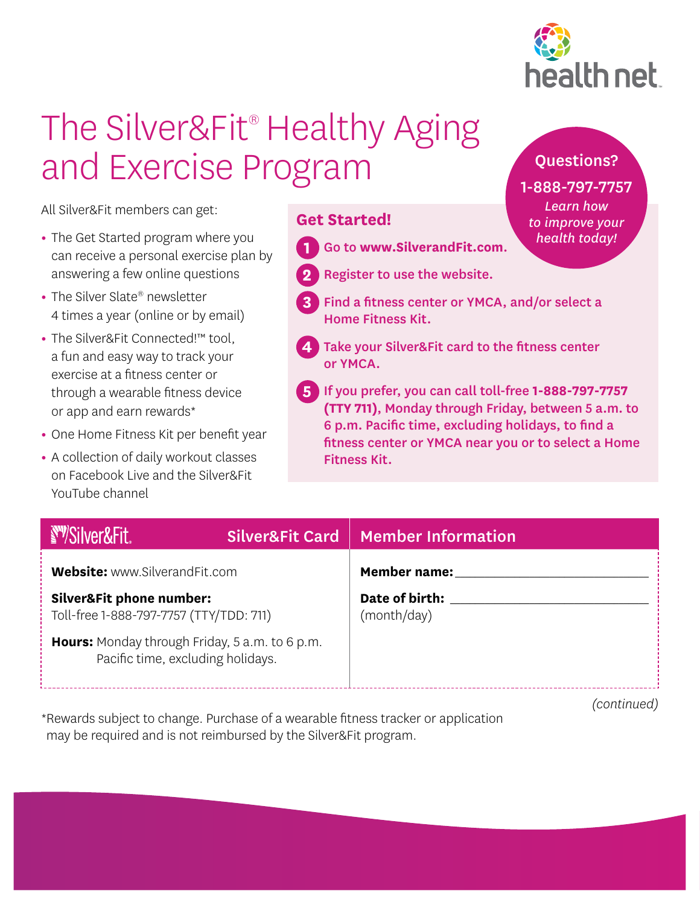

Questions?

1-888-797-7757 *Learn how to improve your health today!*

## The Silver&Fit<sup>®</sup> Healthy Aging and Exercise Program

All Silver&Fit members can get:

- **•** The Get Started program where you can receive a personal exercise plan by answering a few online questions
- **•** The Silver Slate® newsletter 4 times a year (online or by email)
- **•** The Silver&Fit Connected!™ tool, a fun and easy way to track your exercise at a fitness center or through a wearable fitness device or app and earn rewards\*
- **•** One Home Fitness Kit per benefit year
- **•** A collection of daily workout classes on Facebook Live and the Silver&Fit YouTube channel

## **Get Started!**

- **1** Go to **www.SilverandFit.com**.
- **2** Register to use the website.
- **3** Find a fitness center or YMCA, and/or select a Home Fitness Kit.
- **4** Take your Silver&Fit card to the fitness center or YMCA.
- **5** If you prefer, you can call toll-free **1-888-797-7757 (TTY 711)**, Monday through Friday, between 5 a.m. to 6 p.m. Pacific time, excluding holidays, to find a fitness center or YMCA near you or to select a Home Fitness Kit.

| <b>SWSilver&amp;Fit</b>                                                                    |  | Silver&Fit Card   Member Information |
|--------------------------------------------------------------------------------------------|--|--------------------------------------|
| <b>Website:</b> www.SilverandFit.com                                                       |  | <b>Member name:</b>                  |
| <b>Silver&amp;Fit phone number:</b><br>Toll-free 1-888-797-7757 (TTY/TDD: 711)             |  | Date of birth:<br>(month/day)        |
| <b>Hours:</b> Monday through Friday, 5 a.m. to 6 p.m.<br>Pacific time, excluding holidays. |  |                                      |

*(continued)*

\*Rewards subject to change. Purchase of a wearable fitness tracker or application may be required and is not reimbursed by the Silver&Fit program.